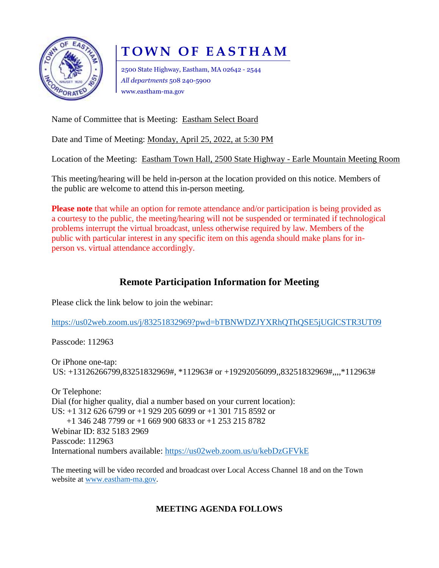

# **T O W N O F E A S T H A M**

2500 State Highway, Eastham, MA 02642 - 2544 *All departments* 508 240-5900 www.eastham-ma.gov

Name of Committee that is Meeting: Eastham Select Board

Date and Time of Meeting: Monday, April 25, 2022, at 5:30 PM

Location of the Meeting: Eastham Town Hall, 2500 State Highway - Earle Mountain Meeting Room

This meeting/hearing will be held in-person at the location provided on this notice. Members of the public are welcome to attend this in-person meeting.

**Please note** that while an option for remote attendance and/or participation is being provided as a courtesy to the public, the meeting/hearing will not be suspended or terminated if technological problems interrupt the virtual broadcast, unless otherwise required by law. Members of the public with particular interest in any specific item on this agenda should make plans for inperson vs. virtual attendance accordingly.

## **Remote Participation Information for Meeting**

Please click the link below to join the webinar:

<https://us02web.zoom.us/j/83251832969?pwd=bTBNWDZJYXRhQThQSE5jUGlCSTR3UT09>

Passcode: 112963

Or iPhone one-tap: US: +13126266799,83251832969#, \*112963# or +19292056099,,83251832969#,,,,\*112963#

Or Telephone: Dial (for higher quality, dial a number based on your current location): US: +1 312 626 6799 or +1 929 205 6099 or +1 301 715 8592 or +1 346 248 7799 or +1 669 900 6833 or +1 253 215 8782 Webinar ID: 832 5183 2969 Passcode: 112963 International numbers available:<https://us02web.zoom.us/u/kebDzGFVkE>

The meeting will be video recorded and broadcast over Local Access Channel 18 and on the Town website at [www.eastham-ma.gov.](http://www.eastham-ma.gov/)

### **MEETING AGENDA FOLLOWS**